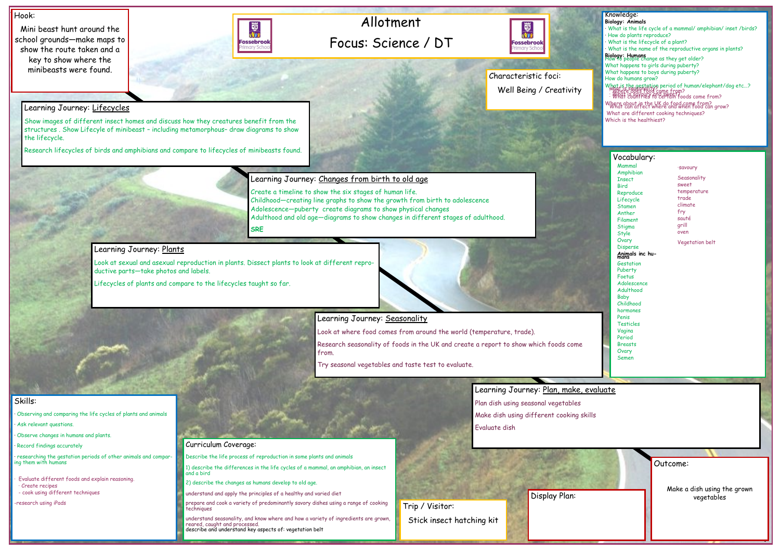# Allotment Focus: Science / DT



#### Hook:

Mini beast hunt around the school grounds—make maps to show the route taken and a key to show where the minibeasts were found.



Outcome: Make a dish using the grown vegetables

### Knowledge:

- **Biology: Animals** · What is the life cycle of a mammal/ amphibian/ inset /birds?
- · How do plants reproduce?
- · What is the lifecycle of a plant?
- · What is the name of the reproductive organs in plants?

What is the gestation period of human/elephant/dog etc...?<br>· What is save fold come from?<br>· What is sayonality and some from?<br>· What countries to certain foods come from? Where about in the UK do food come from? What can affect where and when food can grow?

**Biology: Humans** How to people change as they get older? What happens to girls during puberty? What happens to boys during puberty? How do humans grow?

researching the gestation periods of other animals and comparing them with humans

Evaluate different foods and explain reasoning. · Create recipes - cook using different techniques

What are different cooking techniques? Which is the healthiest?

# Skills:

· Observing and comparing the life cycles of plants and animals

· Ask relevant questions.

· Observe changes in humans and plants.

· Record findings accurately

Learning Journey: Plan, make, evaluate Plan dish using seasonal vegetables Make dish using different cooking skills Evaluate dish

-research using iPads

Learning Journey: Lifecycles

Show images of different insect homes and discuss how they creatures benefit from the structures . Show Lifecyle of minibeast – including metamorphous– draw diagrams to show the lifecycle.

Research lifecycles of birds and amphibians and compare to lifecycles of minibeasts found.



**Seasonality** sweet temperature trade climate fry sauté grill oven

Create a timeline to show the six stages of human life. Childhood—creating line graphs to show the growth from birth to adolescence Adolescence—puberty create diagrams to show physical changes Adulthood and old age—diagrams to show changes in different stages of adulthood. **SRE**

# Learning Journey: Plants

Look at sexual and asexual reproduction in plants. Dissect plants to look at different reproductive parts—take photos and labels.

Lifecycles of plants and compare to the lifecycles taught so far.

Learning Journey: Seasonality

Look at where food comes from around the world (temperature, trade).

Research seasonality of foods in the UK and create a report to show which foods come from.

Try seasonal vegetables and taste test to evaluate.

#### Curriculum Coverage:

Describe the life process of reproduction in some plants and animals

1) describe the differences in the life cycles of a mammal, an amphibian, an insect and a bird

2) describe the changes as humans develop to old age.

understand and apply the principles of a healthy and varied diet

prepare and cook a variety of predominantly savory dishes using a range of cooking techniques

understand seasonality, and know where and how a variety of ingredients are grown, reared, caught and processed. describe and understand key aspects of: vegetation belt

#### Vocabulary:

Display Plan:

Trip / Visitor:

Stick insect hatching kit

Characteristic foci: Well Being / Creativity

> Mammal Amphibian **T**nsect Bird Reproduce Lifecycle Stamen Anther Filament Stigma **Style Ovary** Disperse **Animals inc hu- mans Gestation** Puberty Foetus Adolescence **Adulthood** Baby Childhood hormones Penis Testicles Vagina Period **Breasts Ovary** Semen

#### ·savoury

Vegetation belt